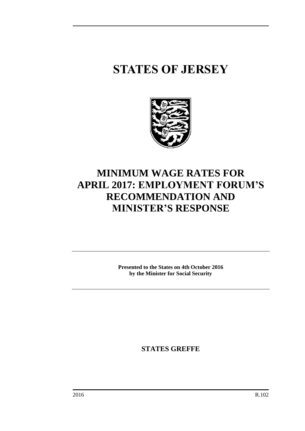## **STATES OF JERSEY**



## **MINIMUM WAGE RATES FOR APRIL 2017: EMPLOYMENT FORUM'S RECOMMENDATION AND MINISTER'S RESPONSE**

**Presented to the States on 4th October 2016 by the Minister for Social Security**

**STATES GREFFE**